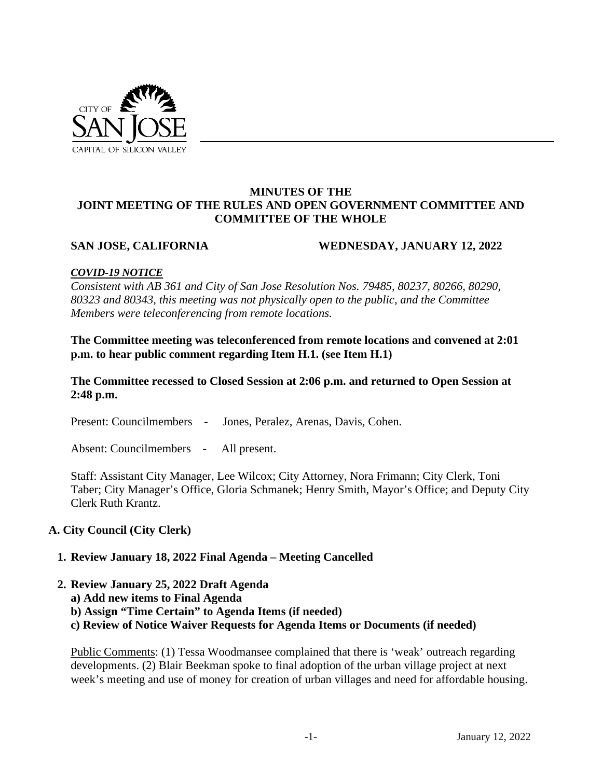

## **MINUTES OF THE JOINT MEETING OF THE RULES AND OPEN GOVERNMENT COMMITTEE AND COMMITTEE OF THE WHOLE**

## **SAN JOSE, CALIFORNIA WEDNESDAY, JANUARY 12, 2022**

## *COVID-19 NOTICE*

*Consistent with AB 361 and City of San Jose Resolution Nos. 79485, 80237, 80266, 80290, 80323 and 80343, this meeting was not physically open to the public, and the Committee Members were teleconferencing from remote locations.* 

**The Committee meeting was teleconferenced from remote locations and convened at 2:01 p.m. to hear public comment regarding Item H.1. (see Item H.1)**

**The Committee recessed to Closed Session at 2:06 p.m. and returned to Open Session at 2:48 p.m.**

Present: Councilmembers - Jones, Peralez, Arenas, Davis, Cohen.

Absent: Councilmembers - All present.

Staff: Assistant City Manager, Lee Wilcox; City Attorney, Nora Frimann; City Clerk, Toni Taber; City Manager's Office, Gloria Schmanek; Henry Smith, Mayor's Office; and Deputy City Clerk Ruth Krantz.

# **A. City Council (City Clerk)**

# **1. Review January 18, 2022 Final Agenda – Meeting Cancelled**

## **2. Review January 25, 2022 Draft Agenda**

- **a) Add new items to Final Agenda**
- **b) Assign "Time Certain" to Agenda Items (if needed)**
- **c) Review of Notice Waiver Requests for Agenda Items or Documents (if needed)**

Public Comments: (1) Tessa Woodmansee complained that there is 'weak' outreach regarding developments. (2) Blair Beekman spoke to final adoption of the urban village project at next week's meeting and use of money for creation of urban villages and need for affordable housing.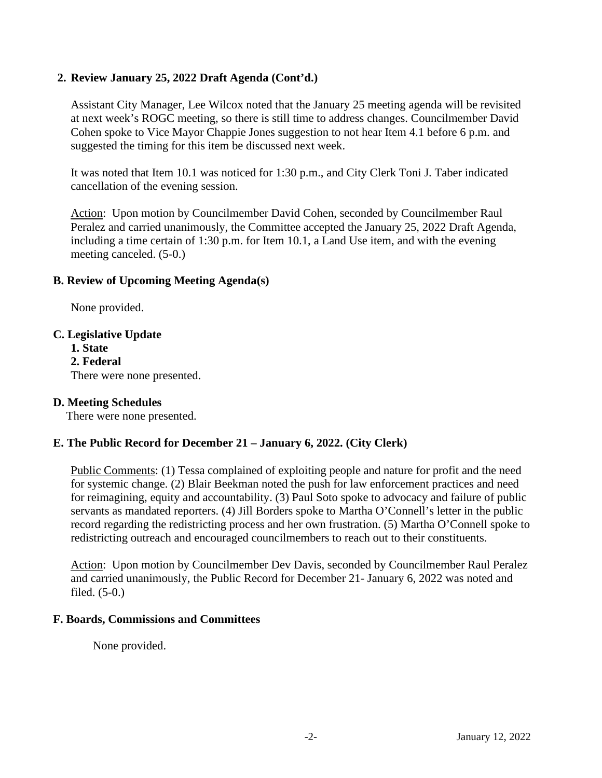# **2. Review January 25, 2022 Draft Agenda (Cont'd.)**

Assistant City Manager, Lee Wilcox noted that the January 25 meeting agenda will be revisited at next week's ROGC meeting, so there is still time to address changes. Councilmember David Cohen spoke to Vice Mayor Chappie Jones suggestion to not hear Item 4.1 before 6 p.m. and suggested the timing for this item be discussed next week.

It was noted that Item 10.1 was noticed for 1:30 p.m., and City Clerk Toni J. Taber indicated cancellation of the evening session.

Action: Upon motion by Councilmember David Cohen, seconded by Councilmember Raul Peralez and carried unanimously, the Committee accepted the January 25, 2022 Draft Agenda, including a time certain of 1:30 p.m. for Item 10.1, a Land Use item, and with the evening meeting canceled. (5-0.)

## **B. Review of Upcoming Meeting Agenda(s)**

None provided.

## **C. Legislative Update**

**1. State 2. Federal**  There were none presented.

# **D. Meeting Schedules**

There were none presented.

## **E. The Public Record for December 21 – January 6, 2022. (City Clerk)**

Public Comments: (1) Tessa complained of exploiting people and nature for profit and the need for systemic change. (2) Blair Beekman noted the push for law enforcement practices and need for reimagining, equity and accountability. (3) Paul Soto spoke to advocacy and failure of public servants as mandated reporters. (4) Jill Borders spoke to Martha O'Connell's letter in the public record regarding the redistricting process and her own frustration. (5) Martha O'Connell spoke to redistricting outreach and encouraged councilmembers to reach out to their constituents.

Action: Upon motion by Councilmember Dev Davis, seconded by Councilmember Raul Peralez and carried unanimously, the Public Record for December 21- January 6, 2022 was noted and filed. (5-0.)

## **F. Boards, Commissions and Committees**

None provided.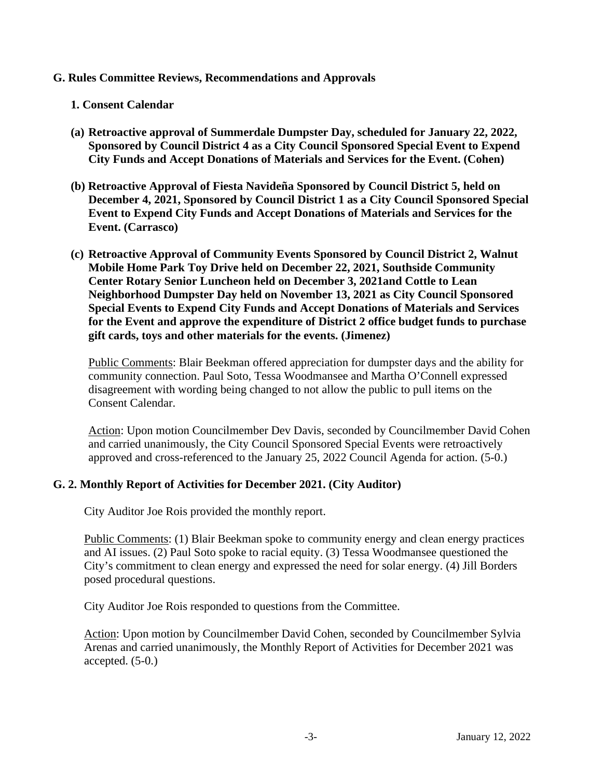## **G. Rules Committee Reviews, Recommendations and Approvals**

## **1. Consent Calendar**

- **(a) Retroactive approval of Summerdale Dumpster Day, scheduled for January 22, 2022, Sponsored by Council District 4 as a City Council Sponsored Special Event to Expend City Funds and Accept Donations of Materials and Services for the Event. (Cohen)**
- **(b) Retroactive Approval of Fiesta Navideña Sponsored by Council District 5, held on December 4, 2021, Sponsored by Council District 1 as a City Council Sponsored Special Event to Expend City Funds and Accept Donations of Materials and Services for the Event. (Carrasco)**
- **(c) Retroactive Approval of Community Events Sponsored by Council District 2, Walnut Mobile Home Park Toy Drive held on December 22, 2021, Southside Community Center Rotary Senior Luncheon held on December 3, 2021and Cottle to Lean Neighborhood Dumpster Day held on November 13, 2021 as City Council Sponsored Special Events to Expend City Funds and Accept Donations of Materials and Services for the Event and approve the expenditure of District 2 office budget funds to purchase gift cards, toys and other materials for the events. (Jimenez)**

Public Comments: Blair Beekman offered appreciation for dumpster days and the ability for community connection. Paul Soto, Tessa Woodmansee and Martha O'Connell expressed disagreement with wording being changed to not allow the public to pull items on the Consent Calendar.

Action: Upon motion Councilmember Dev Davis, seconded by Councilmember David Cohen and carried unanimously, the City Council Sponsored Special Events were retroactively approved and cross-referenced to the January 25, 2022 Council Agenda for action. (5-0.)

# **G. 2. Monthly Report of Activities for December 2021. (City Auditor)**

City Auditor Joe Rois provided the monthly report.

Public Comments: (1) Blair Beekman spoke to community energy and clean energy practices and AI issues. (2) Paul Soto spoke to racial equity. (3) Tessa Woodmansee questioned the City's commitment to clean energy and expressed the need for solar energy. (4) Jill Borders posed procedural questions.

City Auditor Joe Rois responded to questions from the Committee.

Action: Upon motion by Councilmember David Cohen, seconded by Councilmember Sylvia Arenas and carried unanimously, the Monthly Report of Activities for December 2021 was accepted. (5-0.)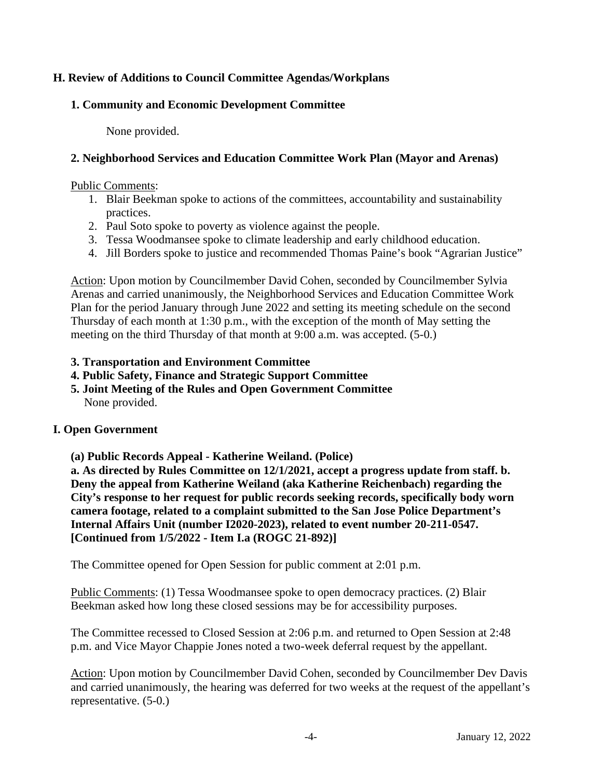# **H. Review of Additions to Council Committee Agendas/Workplans**

# **1. Community and Economic Development Committee**

None provided.

# **2. Neighborhood Services and Education Committee Work Plan (Mayor and Arenas)**

#### Public Comments:

- 1. Blair Beekman spoke to actions of the committees, accountability and sustainability practices.
- 2. Paul Soto spoke to poverty as violence against the people.
- 3. Tessa Woodmansee spoke to climate leadership and early childhood education.
- 4. Jill Borders spoke to justice and recommended Thomas Paine's book "Agrarian Justice"

Action: Upon motion by Councilmember David Cohen, seconded by Councilmember Sylvia Arenas and carried unanimously, the Neighborhood Services and Education Committee Work Plan for the period January through June 2022 and setting its meeting schedule on the second Thursday of each month at 1:30 p.m., with the exception of the month of May setting the meeting on the third Thursday of that month at 9:00 a.m. was accepted. (5-0.)

## **3. Transportation and Environment Committee**

- **4. Public Safety, Finance and Strategic Support Committee**
- **5. Joint Meeting of the Rules and Open Government Committee**  None provided.

# **I. Open Government**

**(a) Public Records Appeal - Katherine Weiland. (Police)**

**a. As directed by Rules Committee on 12/1/2021, accept a progress update from staff. b. Deny the appeal from Katherine Weiland (aka Katherine Reichenbach) regarding the City's response to her request for public records seeking records, specifically body worn camera footage, related to a complaint submitted to the San Jose Police Department's Internal Affairs Unit (number I2020-2023), related to event number 20-211-0547. [Continued from 1/5/2022 - Item I.a (ROGC 21-892)]**

The Committee opened for Open Session for public comment at 2:01 p.m.

Public Comments: (1) Tessa Woodmansee spoke to open democracy practices. (2) Blair Beekman asked how long these closed sessions may be for accessibility purposes.

The Committee recessed to Closed Session at 2:06 p.m. and returned to Open Session at 2:48 p.m. and Vice Mayor Chappie Jones noted a two-week deferral request by the appellant.

Action: Upon motion by Councilmember David Cohen, seconded by Councilmember Dev Davis and carried unanimously, the hearing was deferred for two weeks at the request of the appellant's representative. (5-0.)